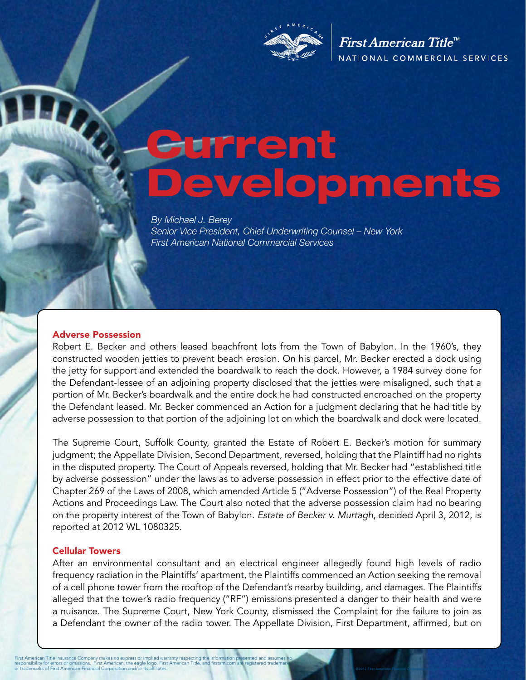

First American Title<sup>™</sup> NATIONAL COMMERCIAL SERVICES

©2012 First American Financial Corporation and/or its affiliates. All rights reserved. NYSE: FAF

# Current Developments

*By Michael J. Berey Senior Vice President, Chief Underwriting Counsel – New York First American National Commercial Services* 

#### Adverse Possession

Robert E. Becker and others leased beachfront lots from the Town of Babylon. In the 1960's, they constructed wooden jetties to prevent beach erosion. On his parcel, Mr. Becker erected a dock using the jetty for support and extended the boardwalk to reach the dock. However, a 1984 survey done for the Defendant-lessee of an adjoining property disclosed that the jetties were misaligned, such that a portion of Mr. Becker's boardwalk and the entire dock he had constructed encroached on the property the Defendant leased. Mr. Becker commenced an Action for a judgment declaring that he had title by adverse possession to that portion of the adjoining lot on which the boardwalk and dock were located.

The Supreme Court, Suffolk County, granted the Estate of Robert E. Becker's motion for summary judgment; the Appellate Division, Second Department, reversed, holding that the Plaintiff had no rights in the disputed property. The Court of Appeals reversed, holding that Mr. Becker had "established title by adverse possession" under the laws as to adverse possession in effect prior to the effective date of Chapter 269 of the Laws of 2008, which amended Article 5 ("Adverse Possession") of the Real Property Actions and Proceedings Law. The Court also noted that the adverse possession claim had no bearing on the property interest of the Town of Babylon. *Estate of Becker v. Murtagh*, decided April 3, 2012, is reported at 2012 WL 1080325.

#### Cellular Towers

After an environmental consultant and an electrical engineer allegedly found high levels of radio frequency radiation in the Plaintiffs' apartment, the Plaintiffs commenced an Action seeking the removal of a cell phone tower from the rooftop of the Defendant's nearby building, and damages. The Plaintiffs alleged that the tower's radio frequency ("RF") emissions presented a danger to their health and were a nuisance. The Supreme Court, New York County, dismissed the Complaint for the failure to join as a Defendant the owner of the radio tower. The Appellate Division, First Department, affirmed, but on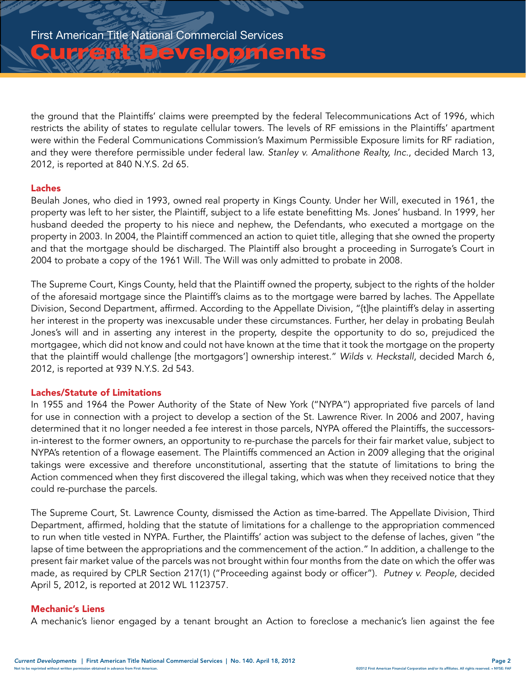**Zurbevelopments** 

the ground that the Plaintiffs' claims were preempted by the federal Telecommunications Act of 1996, which restricts the ability of states to regulate cellular towers. The levels of RF emissions in the Plaintiffs' apartment were within the Federal Communications Commission's Maximum Permissible Exposure limits for RF radiation, and they were therefore permissible under federal law. *Stanley v. Amalithone Realty, Inc*., decided March 13, 2012, is reported at 840 N.Y.S. 2d 65.

## Laches

Beulah Jones, who died in 1993, owned real property in Kings County. Under her Will, executed in 1961, the property was left to her sister, the Plaintiff, subject to a life estate benefitting Ms. Jones' husband. In 1999, her husband deeded the property to his niece and nephew, the Defendants, who executed a mortgage on the property in 2003. In 2004, the Plaintiff commenced an action to quiet title, alleging that she owned the property and that the mortgage should be discharged. The Plaintiff also brought a proceeding in Surrogate's Court in 2004 to probate a copy of the 1961 Will. The Will was only admitted to probate in 2008.

The Supreme Court, Kings County, held that the Plaintiff owned the property, subject to the rights of the holder of the aforesaid mortgage since the Plaintiff's claims as to the mortgage were barred by laches. The Appellate Division, Second Department, affirmed. According to the Appellate Division, "{t]he plaintiff's delay in asserting her interest in the property was inexcusable under these circumstances. Further, her delay in probating Beulah Jones's will and in asserting any interest in the property, despite the opportunity to do so, prejudiced the mortgagee, which did not know and could not have known at the time that it took the mortgage on the property that the plaintiff would challenge [the mortgagors'] ownership interest." *Wilds v. Heckstall*, decided March 6, 2012, is reported at 939 N.Y.S. 2d 543.

## Laches/Statute of Limitations

In 1955 and 1964 the Power Authority of the State of New York ("NYPA") appropriated five parcels of land for use in connection with a project to develop a section of the St. Lawrence River. In 2006 and 2007, having determined that it no longer needed a fee interest in those parcels, NYPA offered the Plaintiffs, the successorsin-interest to the former owners, an opportunity to re-purchase the parcels for their fair market value, subject to NYPA's retention of a flowage easement. The Plaintiffs commenced an Action in 2009 alleging that the original takings were excessive and therefore unconstitutional, asserting that the statute of limitations to bring the Action commenced when they first discovered the illegal taking, which was when they received notice that they could re-purchase the parcels.

The Supreme Court, St. Lawrence County, dismissed the Action as time-barred. The Appellate Division, Third Department, affirmed, holding that the statute of limitations for a challenge to the appropriation commenced to run when title vested in NYPA. Further, the Plaintiffs' action was subject to the defense of laches, given "the lapse of time between the appropriations and the commencement of the action." In addition, a challenge to the present fair market value of the parcels was not brought within four months from the date on which the offer was made, as required by CPLR Section 217(1) ("Proceeding against body or officer"). *Putney v. People,* decided April 5, 2012, is reported at 2012 WL 1123757.

## Mechanic's Liens

A mechanic's lienor engaged by a tenant brought an Action to foreclose a mechanic's lien against the fee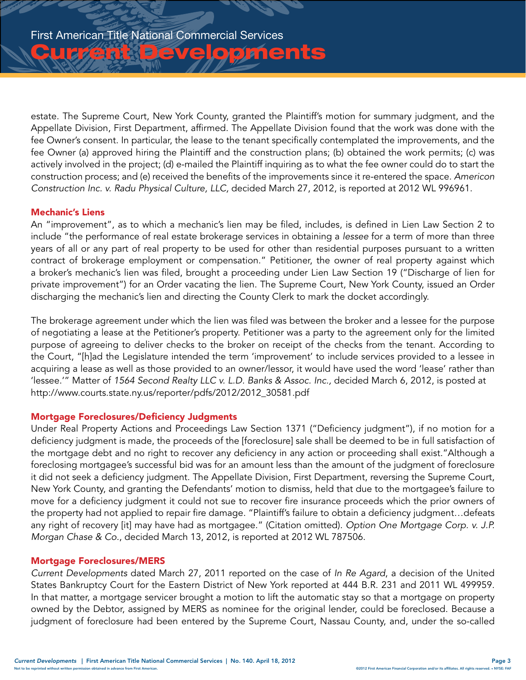**Christian Developments** 

estate. The Supreme Court, New York County, granted the Plaintiff's motion for summary judgment, and the Appellate Division, First Department, affirmed. The Appellate Division found that the work was done with the fee Owner's consent. In particular, the lease to the tenant specifically contemplated the improvements, and the fee Owner (a) approved hiring the Plaintiff and the construction plans; (b) obtained the work permits; (c) was actively involved in the project; (d) e-mailed the Plaintiff inquiring as to what the fee owner could do to start the construction process; and (e) received the benefits of the improvements since it re-entered the space. *Americon Construction Inc. v. Radu Physical Culture, LLC,* decided March 27, 2012, is reported at 2012 WL 996961.

# Mechanic's Liens

An "improvement", as to which a mechanic's lien may be filed, includes, is defined in Lien Law Section 2 to include "the performance of real estate brokerage services in obtaining a *lessee* for a term of more than three years of all or any part of real property to be used for other than residential purposes pursuant to a written contract of brokerage employment or compensation." Petitioner, the owner of real property against which a broker's mechanic's lien was filed, brought a proceeding under Lien Law Section 19 ("Discharge of lien for private improvement") for an Order vacating the lien. The Supreme Court, New York County, issued an Order discharging the mechanic's lien and directing the County Clerk to mark the docket accordingly.

The brokerage agreement under which the lien was filed was between the broker and a lessee for the purpose of negotiating a lease at the Petitioner's property. Petitioner was a party to the agreement only for the limited purpose of agreeing to deliver checks to the broker on receipt of the checks from the tenant. According to the Court, "[h]ad the Legislature intended the term 'improvement' to include services provided to a lessee in acquiring a lease as well as those provided to an owner/lessor, it would have used the word 'lease' rather than 'lessee.'" Matter of *1564 Second Realty LLC v. L.D. Banks & Assoc. Inc.,* decided March 6, 2012, is posted at [http://www.courts.state.ny.us/reporter/pdfs/2012/2012\\_30581.pdf](http://www.courts.state.ny.us/reporter/pdfs/2012/2012_30581.pdf)

# Mortgage Foreclosures/Deficiency Judgments

Under Real Property Actions and Proceedings Law Section 1371 ("Deficiency judgment"), if no motion for a deficiency judgment is made, the proceeds of the [foreclosure] sale shall be deemed to be in full satisfaction of the mortgage debt and no right to recover any deficiency in any action or proceeding shall exist."Although a foreclosing mortgagee's successful bid was for an amount less than the amount of the judgment of foreclosure it did not seek a deficiency judgment. The Appellate Division, First Department, reversing the Supreme Court, New York County, and granting the Defendants' motion to dismiss, held that due to the mortgagee's failure to move for a deficiency judgment it could not sue to recover fire insurance proceeds which the prior owners of the property had not applied to repair fire damage. "Plaintiff's failure to obtain a deficiency judgment…defeats any right of recovery [it] may have had as mortgagee." (Citation omitted). *Option One Mortgage Corp. v. J.P. Morgan Chase & Co*., decided March 13, 2012, is reported at 2012 WL 787506.

## Mortgage Foreclosures/MERS

*Current Developments* dated March 27, 2011 reported on the case of *In Re Agard*, a decision of the United States Bankruptcy Court for the Eastern District of New York reported at 444 B.R. 231 and 2011 WL 499959. In that matter, a mortgage servicer brought a motion to lift the automatic stay so that a mortgage on property owned by the Debtor, assigned by MERS as nominee for the original lender, could be foreclosed. Because a judgment of foreclosure had been entered by the Supreme Court, Nassau County, and, under the so-called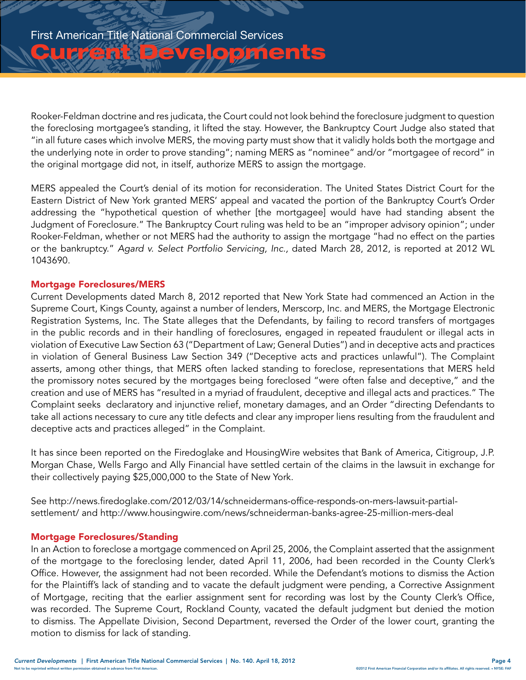Luis Bruelopments

Rooker-Feldman doctrine and res judicata, the Court could not look behind the foreclosure judgment to question the foreclosing mortgagee's standing, it lifted the stay. However, the Bankruptcy Court Judge also stated that "in all future cases which involve MERS, the moving party must show that it validly holds both the mortgage and the underlying note in order to prove standing"; naming MERS as "nominee" and/or "mortgagee of record" in the original mortgage did not, in itself, authorize MERS to assign the mortgage.

MERS appealed the Court's denial of its motion for reconsideration. The United States District Court for the Eastern District of New York granted MERS' appeal and vacated the portion of the Bankruptcy Court's Order addressing the "hypothetical question of whether [the mortgagee] would have had standing absent the Judgment of Foreclosure." The Bankruptcy Court ruling was held to be an "improper advisory opinion"; under Rooker-Feldman, whether or not MERS had the authority to assign the mortgage "had no effect on the parties or the bankruptcy." *Agard v. Select Portfolio Servicing, Inc.,* dated March 28, 2012, is reported at 2012 WL 1043690.

## Mortgage Foreclosures/MERS

Current Developments dated March 8, 2012 reported that New York State had commenced an Action in the Supreme Court, Kings County, against a number of lenders, Merscorp, Inc. and MERS, the Mortgage Electronic Registration Systems, Inc. The State alleges that the Defendants, by failing to record transfers of mortgages in the public records and in their handling of foreclosures, engaged in repeated fraudulent or illegal acts in violation of Executive Law Section 63 ("Department of Law; General Duties") and in deceptive acts and practices in violation of General Business Law Section 349 ("Deceptive acts and practices unlawful"). The Complaint asserts, among other things, that MERS often lacked standing to foreclose, representations that MERS held the promissory notes secured by the mortgages being foreclosed "were often false and deceptive," and the creation and use of MERS has "resulted in a myriad of fraudulent, deceptive and illegal acts and practices." The Complaint seeks declaratory and injunctive relief, monetary damages, and an Order "directing Defendants to take all actions necessary to cure any title defects and clear any improper liens resulting from the fraudulent and deceptive acts and practices alleged" in the Complaint.

It has since been reported on the Firedoglake and HousingWire websites that Bank of America, Citigroup, J.P. Morgan Chase, Wells Fargo and Ally Financial have settled certain of the claims in the lawsuit in exchange for their collectively paying \$25,000,000 to the State of New York.

See [http://news.firedoglake.com/2012/03/14/schneidermans-office-responds-on-mers-lawsuit-partial](http://news.firedoglake.com/2012/03/14/schneidermans-office-responds-on-mers-lawsuit-partial-settlement/)[settlement/](http://news.firedoglake.com/2012/03/14/schneidermans-office-responds-on-mers-lawsuit-partial-settlement/) and <http://www.housingwire.com/news/schneiderman-banks-agree-25-million-mers-deal>

## Mortgage Foreclosures/Standing

In an Action to foreclose a mortgage commenced on April 25, 2006, the Complaint asserted that the assignment of the mortgage to the foreclosing lender, dated April 11, 2006, had been recorded in the County Clerk's Office. However, the assignment had not been recorded. While the Defendant's motions to dismiss the Action for the Plaintiff's lack of standing and to vacate the default judgment were pending, a Corrective Assignment of Mortgage, reciting that the earlier assignment sent for recording was lost by the County Clerk's Office, was recorded. The Supreme Court, Rockland County, vacated the default judgment but denied the motion to dismiss. The Appellate Division, Second Department, reversed the Order of the lower court, granting the motion to dismiss for lack of standing.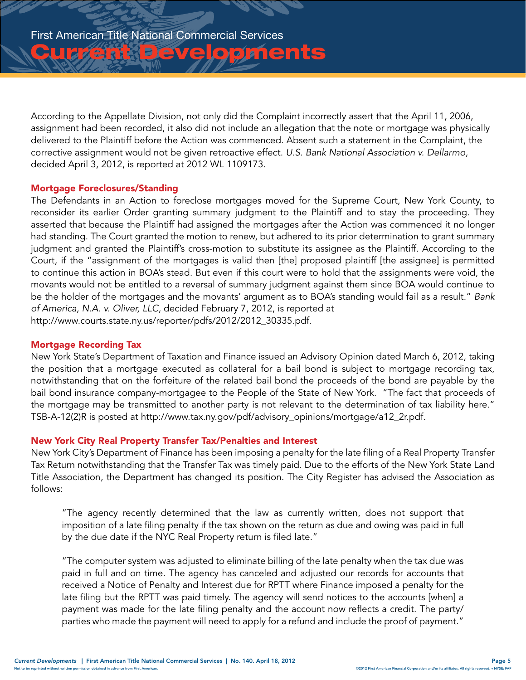**Chrise Evelopments** 

According to the Appellate Division, not only did the Complaint incorrectly assert that the April 11, 2006, assignment had been recorded, it also did not include an allegation that the note or mortgage was physically delivered to the Plaintiff before the Action was commenced. Absent such a statement in the Complaint, the corrective assignment would not be given retroactive effect. *U.S. Bank National Association v. Dellarmo,*  decided April 3, 2012, is reported at 2012 WL 1109173.

## Mortgage Foreclosures/Standing

The Defendants in an Action to foreclose mortgages moved for the Supreme Court, New York County, to reconsider its earlier Order granting summary judgment to the Plaintiff and to stay the proceeding. They asserted that because the Plaintiff had assigned the mortgages after the Action was commenced it no longer had standing. The Court granted the motion to renew, but adhered to its prior determination to grant summary judgment and granted the Plaintiff's cross-motion to substitute its assignee as the Plaintiff. According to the Court, if the "assignment of the mortgages is valid then [the] proposed plaintiff [the assignee] is permitted to continue this action in BOA's stead. But even if this court were to hold that the assignments were void, the movants would not be entitled to a reversal of summary judgment against them since BOA would continue to be the holder of the mortgages and the movants' argument as to BOA's standing would fail as a result." *Bank of America, N.A. v. Oliver, LLC,* decided February 7, 2012, is reported at [http://www.courts.state.ny.us/reporter/pdfs/2012/2012\\_30335.pdf](http://www.courts.state.ny.us/reporter/pdfs/2012/2012_30335.pdf).

## Mortgage Recording Tax

New York State's Department of Taxation and Finance issued an Advisory Opinion dated March 6, 2012, taking the position that a mortgage executed as collateral for a bail bond is subject to mortgage recording tax, notwithstanding that on the forfeiture of the related bail bond the proceeds of the bond are payable by the bail bond insurance company-mortgagee to the People of the State of New York. "The fact that proceeds of the mortgage may be transmitted to another party is not relevant to the determination of tax liability here." TSB-A-12(2)R is posted at [http://www.tax.ny.gov/pdf/advisory\\_opinions/mortgage/a12\\_2r.pdf.](http://www.tax.ny.gov/pdf/advisory_opinions/mortgage/a12_2r.pdf)

## New York City Real Property Transfer Tax/Penalties and Interest

New York City's Department of Finance has been imposing a penalty for the late filing of a Real Property Transfer Tax Return notwithstanding that the Transfer Tax was timely paid. Due to the efforts of the New York State Land Title Association, the Department has changed its position. The City Register has advised the Association as follows:

"The agency recently determined that the law as currently written, does not support that imposition of a late filing penalty if the tax shown on the return as due and owing was paid in full by the due date if the NYC Real Property return is filed late."

"The computer system was adjusted to eliminate billing of the late penalty when the tax due was paid in full and on time. The agency has canceled and adjusted our records for accounts that received a Notice of Penalty and Interest due for RPTT where Finance imposed a penalty for the late filing but the RPTT was paid timely. The agency will send notices to the accounts [when] a payment was made for the late filing penalty and the account now reflects a credit. The party/ parties who made the payment will need to apply for a refund and include the proof of payment."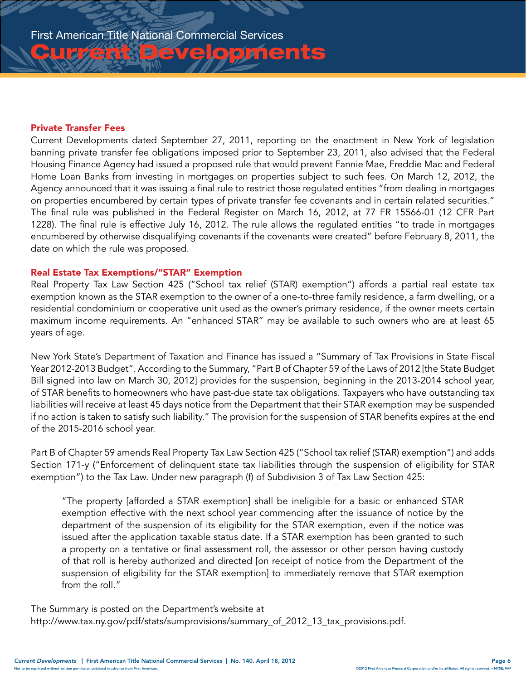## Private Transfer Fees

Current Developments dated September 27, 2011, reporting on the enactment in New York of legislation banning private transfer fee obligations imposed prior to September 23, 2011, also advised that the Federal Housing Finance Agency had issued a proposed rule that would prevent Fannie Mae, Freddie Mac and Federal Home Loan Banks from investing in mortgages on properties subject to such fees. On March 12, 2012, the Agency announced that it was issuing a final rule to restrict those regulated entities "from dealing in mortgages on properties encumbered by certain types of private transfer fee covenants and in certain related securities." The final rule was published in the Federal Register on March 16, 2012, at 77 FR 15566-01 (12 CFR Part 1228). The final rule is effective July 16, 2012. The rule allows the regulated entities "to trade in mortgages encumbered by otherwise disqualifying covenants if the covenants were created" before February 8, 2011, the date on which the rule was proposed.

**Pevelopments** 

#### Real Estate Tax Exemptions/"STAR" Exemption

Real Property Tax Law Section 425 ("School tax relief (STAR) exemption") affords a partial real estate tax exemption known as the STAR exemption to the owner of a one-to-three family residence, a farm dwelling, or a residential condominium or cooperative unit used as the owner's primary residence, if the owner meets certain maximum income requirements. An "enhanced STAR" may be available to such owners who are at least 65 years of age.

New York State's Department of Taxation and Finance has issued a "Summary of Tax Provisions in State Fiscal Year 2012-2013 Budget". According to the Summary, "Part B of Chapter 59 of the Laws of 2012 [the State Budget Bill signed into law on March 30, 2012] provides for the suspension, beginning in the 2013-2014 school year, of STAR benefits to homeowners who have past-due state tax obligations. Taxpayers who have outstanding tax liabilities will receive at least 45 days notice from the Department that their STAR exemption may be suspended if no action is taken to satisfy such liability." The provision for the suspension of STAR benefits expires at the end of the 2015-2016 school year.

Part B of Chapter 59 amends Real Property Tax Law Section 425 ("School tax relief (STAR) exemption") and adds Section 171-y ("Enforcement of delinquent state tax liabilities through the suspension of eligibility for STAR exemption") to the Tax Law. Under new paragraph (f) of Subdivision 3 of Tax Law Section 425:

"The property [afforded a STAR exemption] shall be ineligible for a basic or enhanced STAR exemption effective with the next school year commencing after the issuance of notice by the department of the suspension of its eligibility for the STAR exemption, even if the notice was issued after the application taxable status date. If a STAR exemption has been granted to such a property on a tentative or final assessment roll, the assessor or other person having custody of that roll is hereby authorized and directed [on receipt of notice from the Department of the suspension of eligibility for the STAR exemption] to immediately remove that STAR exemption from the roll."

The Summary is posted on the Department's website at [http://www.tax.ny.gov/pdf/stats/sumprovisions/summary\\_of\\_2012\\_13\\_tax\\_provisions.pdf.](http://www.tax.ny.gov/pdf/stats/sumprovisions/summary_of_2012_13_tax_provisions.pdf)